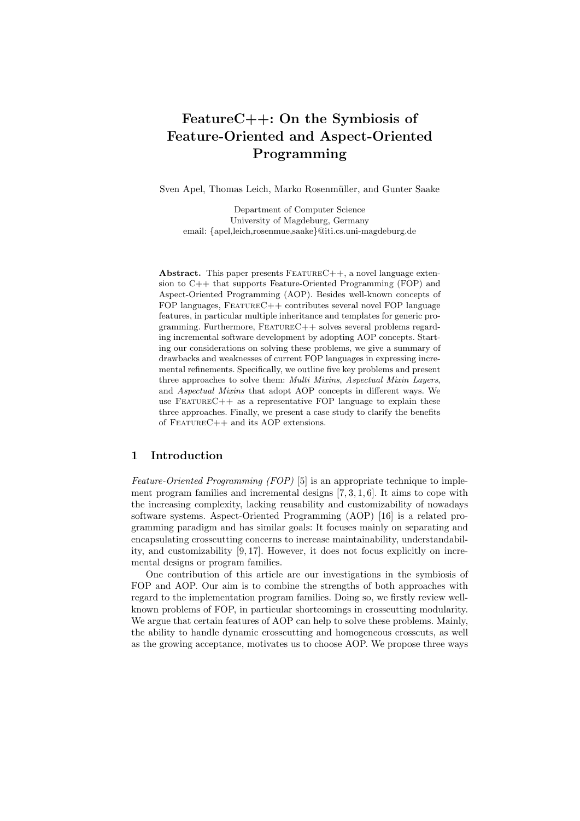# FeatureC++: On the Symbiosis of Feature-Oriented and Aspect-Oriented Programming

Sven Apel, Thomas Leich, Marko Rosenmüller, and Gunter Saake

Department of Computer Science University of Magdeburg, Germany email: {apel,leich,rosenmue,saake}@iti.cs.uni-magdeburg.de

Abstract. This paper presents  $F_{\text{EATURE}}C++$ , a novel language extension to C++ that supports Feature-Oriented Programming (FOP) and Aspect-Oriented Programming (AOP). Besides well-known concepts of  $FOP$  languages,  $F_{EATUREC++}$  contributes several novel  $FOP$  language features, in particular multiple inheritance and templates for generic programming. Furthermore,  $F_{\text{EATURE}}C++$  solves several problems regarding incremental software development by adopting AOP concepts. Starting our considerations on solving these problems, we give a summary of drawbacks and weaknesses of current FOP languages in expressing incremental refinements. Specifically, we outline five key problems and present three approaches to solve them: Multi Mixins, Aspectual Mixin Layers, and Aspectual Mixins that adopt AOP concepts in different ways. We use FEATUREC $++$  as a representative FOP language to explain these three approaches. Finally, we present a case study to clarify the benefits of FeatureC++ and its AOP extensions.

# 1 Introduction

Feature-Oriented Programming (FOP) [5] is an appropriate technique to implement program families and incremental designs [7, 3, 1, 6]. It aims to cope with the increasing complexity, lacking reusability and customizability of nowadays software systems. Aspect-Oriented Programming (AOP) [16] is a related programming paradigm and has similar goals: It focuses mainly on separating and encapsulating crosscutting concerns to increase maintainability, understandability, and customizability [9, 17]. However, it does not focus explicitly on incremental designs or program families.

One contribution of this article are our investigations in the symbiosis of FOP and AOP. Our aim is to combine the strengths of both approaches with regard to the implementation program families. Doing so, we firstly review wellknown problems of FOP, in particular shortcomings in crosscutting modularity. We argue that certain features of AOP can help to solve these problems. Mainly, the ability to handle dynamic crosscutting and homogeneous crosscuts, as well as the growing acceptance, motivates us to choose AOP. We propose three ways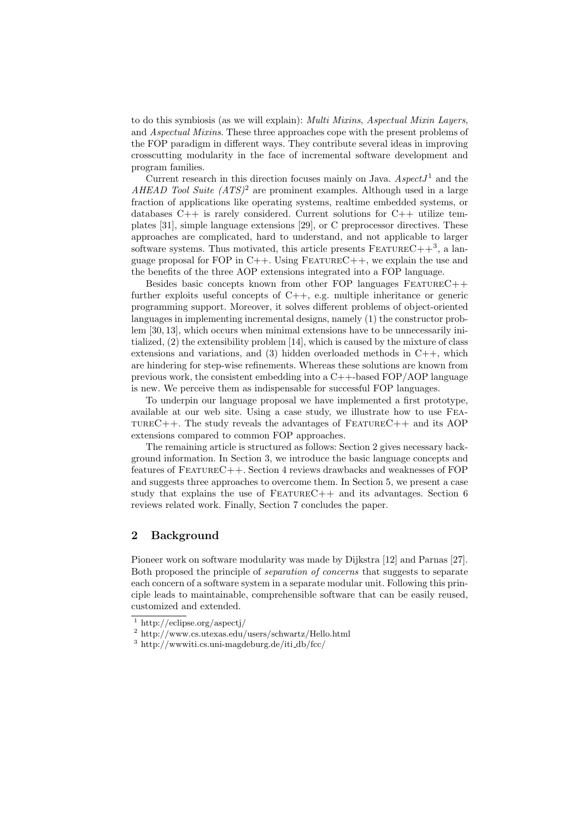to do this symbiosis (as we will explain): Multi Mixins, Aspectual Mixin Layers, and Aspectual Mixins. These three approaches cope with the present problems of the FOP paradigm in different ways. They contribute several ideas in improving crosscutting modularity in the face of incremental software development and program families.

Current research in this direction focuses mainly on Java.  $AspectJ<sup>1</sup>$  and the AHEAD Tool Suite  $(ATS)^2$  are prominent examples. Although used in a large fraction of applications like operating systems, realtime embedded systems, or databases  $C_{++}$  is rarely considered. Current solutions for  $C_{++}$  utilize templates [31], simple language extensions [29], or C preprocessor directives. These approaches are complicated, hard to understand, and not applicable to larger software systems. Thus motivated, this article presents  $F_{\text{EATURE}}C_{++}^{3}$ , a language proposal for FOP in  $C++$ . Using FEATUREC++, we explain the use and the benefits of the three AOP extensions integrated into a FOP language.

Besides basic concepts known from other FOP languages FeatureC++ further exploits useful concepts of  $C_{++}$ , e.g. multiple inheritance or generic programming support. Moreover, it solves different problems of object-oriented languages in implementing incremental designs, namely (1) the constructor problem [30, 13], which occurs when minimal extensions have to be unnecessarily initialized, (2) the extensibility problem [14], which is caused by the mixture of class extensions and variations, and  $(3)$  hidden overloaded methods in  $C_{++}$ , which are hindering for step-wise refinements. Whereas these solutions are known from previous work, the consistent embedding into a C++-based FOP/AOP language is new. We perceive them as indispensable for successful FOP languages.

To underpin our language proposal we have implemented a first prototype, available at our web site. Using a case study, we illustrate how to use Fea-TUREC $++$ . The study reveals the advantages of FEATUREC $++$  and its AOP extensions compared to common FOP approaches.

The remaining article is structured as follows: Section 2 gives necessary background information. In Section 3, we introduce the basic language concepts and features of FeatureC++. Section 4 reviews drawbacks and weaknesses of FOP and suggests three approaches to overcome them. In Section 5, we present a case study that explains the use of  $F_{\text{EATURE}}C++$  and its advantages. Section 6 reviews related work. Finally, Section 7 concludes the paper.

## 2 Background

Pioneer work on software modularity was made by Dijkstra [12] and Parnas [27]. Both proposed the principle of *separation of concerns* that suggests to separate each concern of a software system in a separate modular unit. Following this principle leads to maintainable, comprehensible software that can be easily reused, customized and extended.

<sup>1</sup> http://eclipse.org/aspectj/

<sup>2</sup> http://www.cs.utexas.edu/users/schwartz/Hello.html

 $3$  http://wwwiti.cs.uni-magdeburg.de/iti\_db/fcc/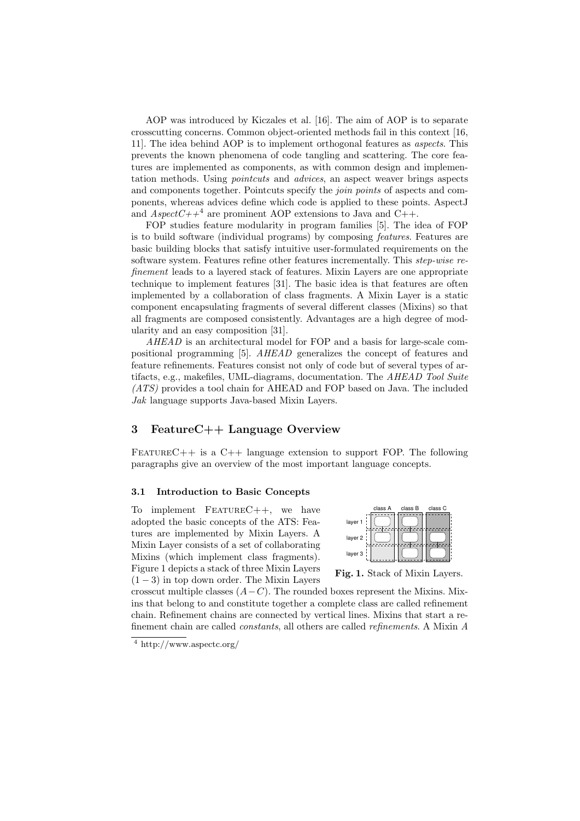AOP was introduced by Kiczales et al. [16]. The aim of AOP is to separate crosscutting concerns. Common object-oriented methods fail in this context [16, 11]. The idea behind AOP is to implement orthogonal features as aspects. This prevents the known phenomena of code tangling and scattering. The core features are implemented as components, as with common design and implementation methods. Using pointcuts and advices, an aspect weaver brings aspects and components together. Pointcuts specify the *join points* of aspects and components, whereas advices define which code is applied to these points. AspectJ and  $AspectC++^4$  are prominent AOP extensions to Java and C++.

FOP studies feature modularity in program families [5]. The idea of FOP is to build software (individual programs) by composing features. Features are basic building blocks that satisfy intuitive user-formulated requirements on the software system. Features refine other features incrementally. This step-wise refinement leads to a layered stack of features. Mixin Layers are one appropriate technique to implement features [31]. The basic idea is that features are often implemented by a collaboration of class fragments. A Mixin Layer is a static component encapsulating fragments of several different classes (Mixins) so that all fragments are composed consistently. Advantages are a high degree of modularity and an easy composition [31].

AHEAD is an architectural model for FOP and a basis for large-scale compositional programming [5]. AHEAD generalizes the concept of features and feature refinements. Features consist not only of code but of several types of artifacts, e.g., makefiles, UML-diagrams, documentation. The AHEAD Tool Suite (ATS) provides a tool chain for AHEAD and FOP based on Java. The included Jak language supports Java-based Mixin Layers.

# 3 FeatureC++ Language Overview

FEATUREC++ is a C++ language extension to support FOP. The following paragraphs give an overview of the most important language concepts.

### 3.1 Introduction to Basic Concepts

To implement  $F_{\text{EATURE}}C_{++}$ , we have adopted the basic concepts of the ATS: Features are implemented by Mixin Layers. A Mixin Layer consists of a set of collaborating Mixins (which implement class fragments). Figure 1 depicts a stack of three Mixin Layers  $(1-3)$  in top down order. The Mixin Layers



Fig. 1. Stack of Mixin Layers.

crosscut multiple classes  $(A-C)$ . The rounded boxes represent the Mixins. Mixins that belong to and constitute together a complete class are called refinement chain. Refinement chains are connected by vertical lines. Mixins that start a refinement chain are called constants, all others are called refinements. A Mixin A

<sup>4</sup> http://www.aspectc.org/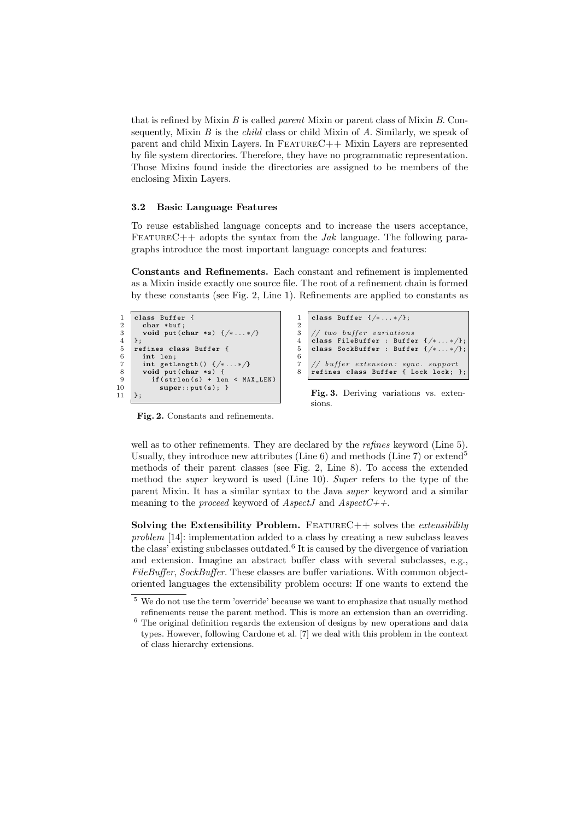that is refined by Mixin B is called parent Mixin or parent class of Mixin B. Consequently, Mixin  $B$  is the *child* class or child Mixin of  $A$ . Similarly, we speak of parent and child Mixin Layers. In FeatureC++ Mixin Layers are represented by file system directories. Therefore, they have no programmatic representation. Those Mixins found inside the directories are assigned to be members of the enclosing Mixin Layers.

### 3.2 Basic Language Features

To reuse established language concepts and to increase the users acceptance, FEATUREC++ adopts the syntax from the *Jak* language. The following paragraphs introduce the most important language concepts and features:

Constants and Refinements. Each constant and refinement is implemented as a Mixin inside exactly one source file. The root of a refinement chain is formed by these constants (see Fig. 2, Line 1). Refinements are applied to constants as

```
\begin{array}{c|c} 1 & \text{class Buffer} \\ 2 & \text{char *buf;} \end{array}\begin{array}{c|c} 2 & \text{char} * \text{buf}; \\ 3 & \text{void} \text{ put}(c) \end{array}\begin{array}{c|c}\n3 & \text{void put (char *s)} \\
4 & \text{b}\n\end{array}\begin{array}{c|c} 4 & \rightarrow; \\ 5 & \rightarrow \end{array}5 refines class Buffer {<br>6 int len;<br>7 int getLength() {/*.
                int len:
  7 int getLength () \{/* \dots * / 3\}<br>8 void put (char *s) {
  8 void put (char *s) {<br>9 if (strlen(s) + len < MAX_LEN)
10 | super:: put (s); }
11 };
```


Fig. 3. Deriving variations vs. extensions.

Fig. 2. Constants and refinements.

well as to other refinements. They are declared by the *refines* keyword (Line 5). Usually, they introduce new attributes (Line 6) and methods (Line 7) or extend<sup>5</sup> methods of their parent classes (see Fig. 2, Line 8). To access the extended method the super keyword is used (Line 10). Super refers to the type of the parent Mixin. It has a similar syntax to the Java super keyword and a similar meaning to the *proceed* keyword of  $AspectJ$  and  $AspectC++$ .

Solving the Extensibility Problem. FEATUREC++ solves the extensibility problem [14]: implementation added to a class by creating a new subclass leaves the class' existing subclasses outdated.<sup>6</sup> It is caused by the divergence of variation and extension. Imagine an abstract buffer class with several subclasses, e.g., FileBuffer, SockBuffer. These classes are buffer variations. With common objectoriented languages the extensibility problem occurs: If one wants to extend the

 $^5\,$  We do not use the term 'override' because we want to emphasize that usually method refinements reuse the parent method. This is more an extension than an overriding.

 $^6$  The original definition regards the extension of designs by new operations and data types. However, following Cardone et al. [7] we deal with this problem in the context of class hierarchy extensions.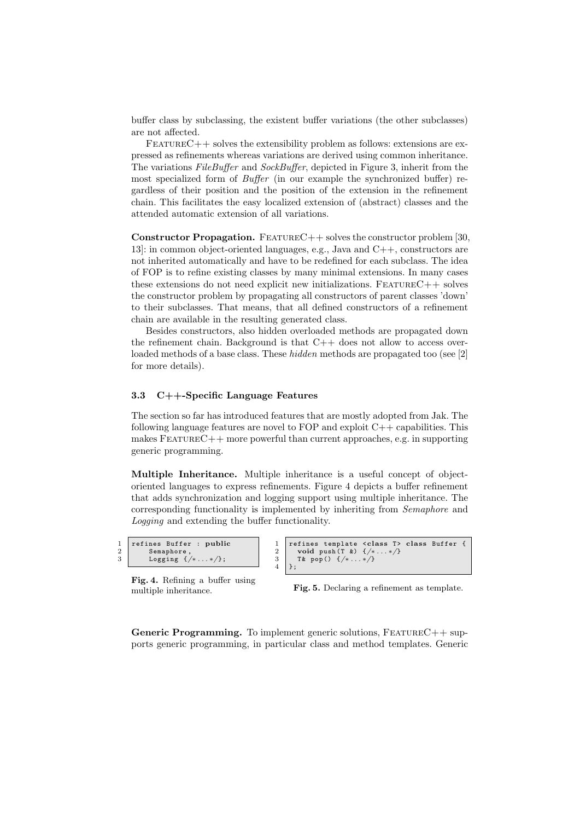buffer class by subclassing, the existent buffer variations (the other subclasses) are not affected.

 $FEATUREC++$  solves the extensibility problem as follows: extensions are expressed as refinements whereas variations are derived using common inheritance. The variations FileBuffer and SockBuffer, depicted in Figure 3, inherit from the most specialized form of Buffer (in our example the synchronized buffer) regardless of their position and the position of the extension in the refinement chain. This facilitates the easy localized extension of (abstract) classes and the attended automatic extension of all variations.

**Constructor Propagation.** FEATUREC++ solves the constructor problem [30, 13]: in common object-oriented languages, e.g., Java and C++, constructors are not inherited automatically and have to be redefined for each subclass. The idea of FOP is to refine existing classes by many minimal extensions. In many cases these extensions do not need explicit new initializations.  $F_{\text{EATURE}}C++$  solves the constructor problem by propagating all constructors of parent classes 'down' to their subclasses. That means, that all defined constructors of a refinement chain are available in the resulting generated class.

Besides constructors, also hidden overloaded methods are propagated down the refinement chain. Background is that  $C++$  does not allow to access overloaded methods of a base class. These *hidden* methods are propagated too (see [2] for more details).

### 3.3 C++-Specific Language Features

The section so far has introduced features that are mostly adopted from Jak. The following language features are novel to FOP and exploit C++ capabilities. This makes  $F_{\text{EATURE}}C_{++}$  more powerful than current approaches, e.g. in supporting generic programming.

Multiple Inheritance. Multiple inheritance is a useful concept of objectoriented languages to express refinements. Figure 4 depicts a buffer refinement that adds synchronization and logging support using multiple inheritance. The corresponding functionality is implemented by inheriting from Semaphore and Logging and extending the buffer functionality.

 $\overline{4}$ 

```
\begin{array}{c|c} 1 & \text{refines Buffer : public} \\ 2 & \text{Semablore.} \end{array}\begin{array}{c|c}\n2 & \text{Semaphore} \\
3 & \text{Logging } f\n\end{array}Logging \{/* \ldots */\};
```
Fig. 4. Refining a buffer using multiple inheritance.

```
1 refines template <class T> class Buffer<br>2 void push(T &) \{x : x \leq k\}2 void push (T &) \{ / * \ldots * / \}<br>3 T& pop() \{ / * \ldots * / \}T& pop() {/*...*/}
```
Fig. 5. Declaring a refinement as template.

Generic Programming. To implement generic solutions, FEATUREC++ supports generic programming, in particular class and method templates. Generic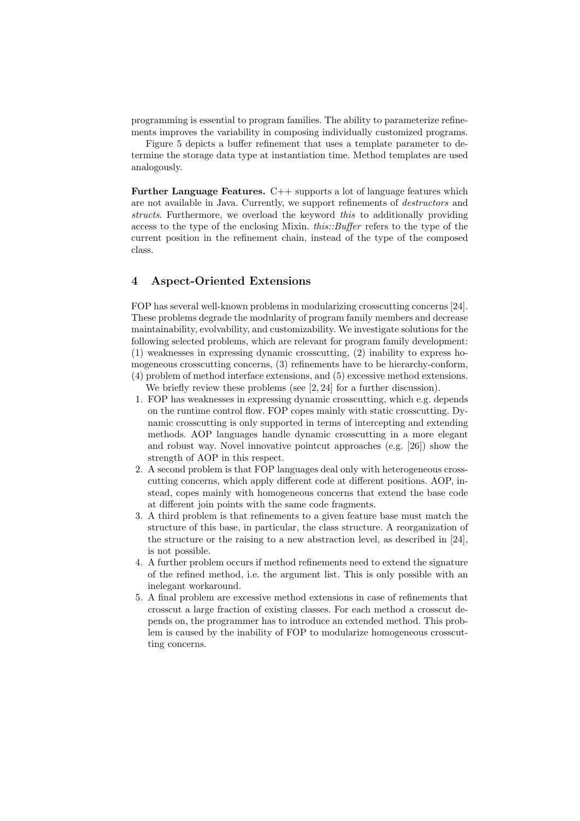programming is essential to program families. The ability to parameterize refinements improves the variability in composing individually customized programs.

Figure 5 depicts a buffer refinement that uses a template parameter to determine the storage data type at instantiation time. Method templates are used analogously.

**Further Language Features.**  $C++$  supports a lot of language features which are not available in Java. Currently, we support refinements of destructors and structs. Furthermore, we overload the keyword this to additionally providing access to the type of the enclosing Mixin. this::Buffer refers to the type of the current position in the refinement chain, instead of the type of the composed class.

# 4 Aspect-Oriented Extensions

FOP has several well-known problems in modularizing crosscutting concerns [24]. These problems degrade the modularity of program family members and decrease maintainability, evolvability, and customizability. We investigate solutions for the following selected problems, which are relevant for program family development: (1) weaknesses in expressing dynamic crosscutting, (2) inability to express homogeneous crosscutting concerns, (3) refinements have to be hierarchy-conform, (4) problem of method interface extensions, and (5) excessive method extensions.

We briefly review these problems (see [2, 24] for a further discussion).

- 1. FOP has weaknesses in expressing dynamic crosscutting, which e.g. depends on the runtime control flow. FOP copes mainly with static crosscutting. Dynamic crosscutting is only supported in terms of intercepting and extending methods. AOP languages handle dynamic crosscutting in a more elegant and robust way. Novel innovative pointcut approaches (e.g. [26]) show the strength of AOP in this respect.
- 2. A second problem is that FOP languages deal only with heterogeneous crosscutting concerns, which apply different code at different positions. AOP, instead, copes mainly with homogeneous concerns that extend the base code at different join points with the same code fragments.
- 3. A third problem is that refinements to a given feature base must match the structure of this base, in particular, the class structure. A reorganization of the structure or the raising to a new abstraction level, as described in [24], is not possible.
- 4. A further problem occurs if method refinements need to extend the signature of the refined method, i.e. the argument list. This is only possible with an inelegant workaround.
- 5. A final problem are excessive method extensions in case of refinements that crosscut a large fraction of existing classes. For each method a crosscut depends on, the programmer has to introduce an extended method. This problem is caused by the inability of FOP to modularize homogeneous crosscutting concerns.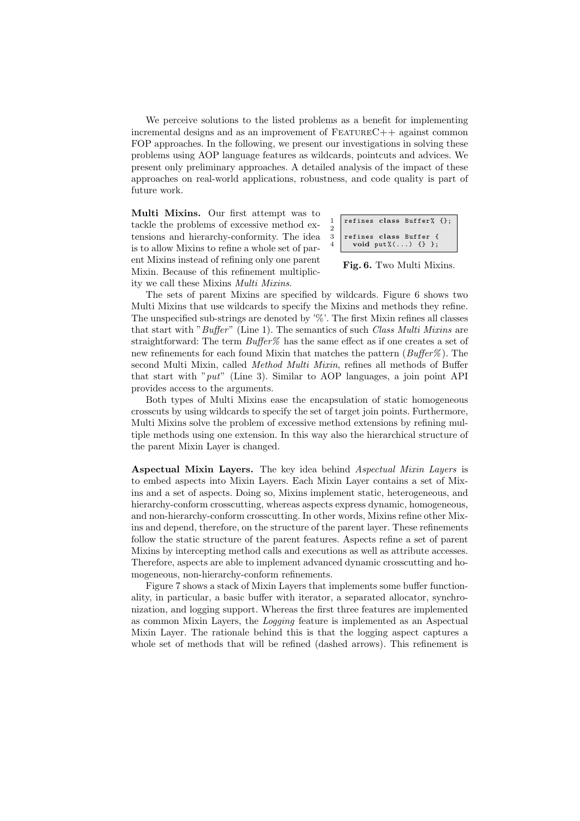We perceive solutions to the listed problems as a benefit for implementing incremental designs and as an improvement of  $F_{\text{EATURE}} +$  against common FOP approaches. In the following, we present our investigations in solving these problems using AOP language features as wildcards, pointcuts and advices. We present only preliminary approaches. A detailed analysis of the impact of these approaches on real-world applications, robustness, and code quality is part of future work.

Multi Mixins. Our first attempt was to tackle the problems of excessive method extensions and hierarchy-conformity. The idea is to allow Mixins to refine a whole set of parent Mixins instead of refining only one parent Mixin. Because of this refinement multiplicity we call these Mixins Multi Mixins.

| $\mathbf{1}$        | refines class Buffer% {}; |
|---------------------|---------------------------|
| $\overline{2}$<br>3 | refines class Buffer {    |
| 4                   | void $put$ $($ $)$ {} };  |

Fig. 6. Two Multi Mixins.

The sets of parent Mixins are specified by wildcards. Figure 6 shows two Multi Mixins that use wildcards to specify the Mixins and methods they refine. The unspecified sub-strings are denoted by '%'. The first Mixin refines all classes that start with "Buffer" (Line 1). The semantics of such Class Multi Mixins are straightforward: The term  $\text{Buffer} \%$  has the same effect as if one creates a set of new refinements for each found Mixin that matches the pattern  $(Buffer\%)$ . The second Multi Mixin, called *Method Multi Mixin*, refines all methods of Buffer that start with " $put$ " (Line 3). Similar to AOP languages, a join point API provides access to the arguments.

Both types of Multi Mixins ease the encapsulation of static homogeneous crosscuts by using wildcards to specify the set of target join points. Furthermore, Multi Mixins solve the problem of excessive method extensions by refining multiple methods using one extension. In this way also the hierarchical structure of the parent Mixin Layer is changed.

Aspectual Mixin Layers. The key idea behind Aspectual Mixin Layers is to embed aspects into Mixin Layers. Each Mixin Layer contains a set of Mixins and a set of aspects. Doing so, Mixins implement static, heterogeneous, and hierarchy-conform crosscutting, whereas aspects express dynamic, homogeneous, and non-hierarchy-conform crosscutting. In other words, Mixins refine other Mixins and depend, therefore, on the structure of the parent layer. These refinements follow the static structure of the parent features. Aspects refine a set of parent Mixins by intercepting method calls and executions as well as attribute accesses. Therefore, aspects are able to implement advanced dynamic crosscutting and homogeneous, non-hierarchy-conform refinements.

Figure 7 shows a stack of Mixin Layers that implements some buffer functionality, in particular, a basic buffer with iterator, a separated allocator, synchronization, and logging support. Whereas the first three features are implemented as common Mixin Layers, the Logging feature is implemented as an Aspectual Mixin Layer. The rationale behind this is that the logging aspect captures a whole set of methods that will be refined (dashed arrows). This refinement is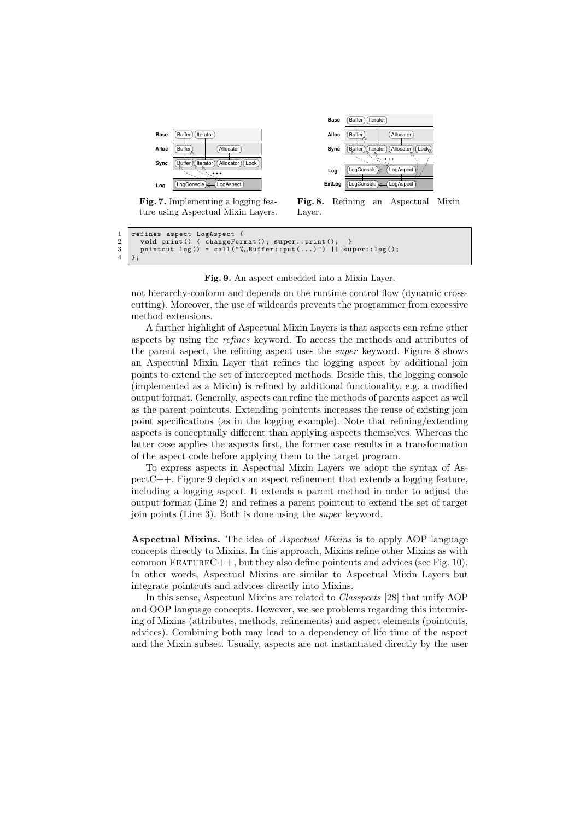

Fig. 7. Implementing a logging feature using Aspectual Mixin Layers.



Fig. 8. Refining an Aspectual Mixin Layer.

```
1 refines aspect LogAspect {<br>2 void print() { changeFor
2 void print () { changeFormat (); super:: print (); }
3 pointcut log () = call ( "% Buffer :: put (...) " ) || super:: log ();
4 | \};
```
Fig. 9. An aspect embedded into a Mixin Layer.

not hierarchy-conform and depends on the runtime control flow (dynamic crosscutting). Moreover, the use of wildcards prevents the programmer from excessive method extensions.

A further highlight of Aspectual Mixin Layers is that aspects can refine other aspects by using the refines keyword. To access the methods and attributes of the parent aspect, the refining aspect uses the super keyword. Figure 8 shows an Aspectual Mixin Layer that refines the logging aspect by additional join points to extend the set of intercepted methods. Beside this, the logging console (implemented as a Mixin) is refined by additional functionality, e.g. a modified output format. Generally, aspects can refine the methods of parents aspect as well as the parent pointcuts. Extending pointcuts increases the reuse of existing join point specifications (as in the logging example). Note that refining/extending aspects is conceptually different than applying aspects themselves. Whereas the latter case applies the aspects first, the former case results in a transformation of the aspect code before applying them to the target program.

To express aspects in Aspectual Mixin Layers we adopt the syntax of AspectC++. Figure 9 depicts an aspect refinement that extends a logging feature, including a logging aspect. It extends a parent method in order to adjust the output format (Line 2) and refines a parent pointcut to extend the set of target join points (Line 3). Both is done using the super keyword.

Aspectual Mixins. The idea of Aspectual Mixins is to apply AOP language concepts directly to Mixins. In this approach, Mixins refine other Mixins as with common FEATUREC++, but they also define pointcuts and advices (see Fig. 10). In other words, Aspectual Mixins are similar to Aspectual Mixin Layers but integrate pointcuts and advices directly into Mixins.

In this sense, Aspectual Mixins are related to Classpects [28] that unify AOP and OOP language concepts. However, we see problems regarding this intermixing of Mixins (attributes, methods, refinements) and aspect elements (pointcuts, advices). Combining both may lead to a dependency of life time of the aspect and the Mixin subset. Usually, aspects are not instantiated directly by the user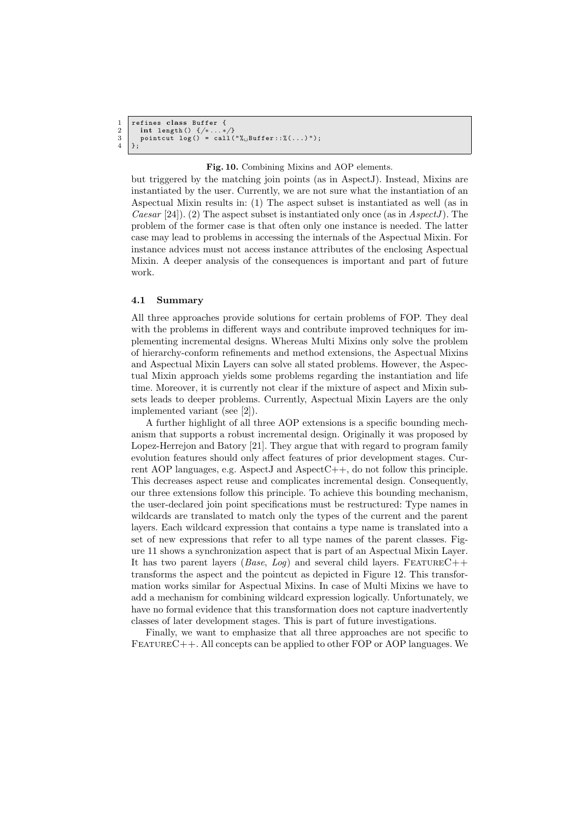```
1 refines class Buffer {<br>2 int length() \{/*...*<br>3 pointcut log() = cal
           int length () \frac{1}{4}pointcut log() = call("\mathcal{N}_\sqcupBuffer::\mathcal{N}(\ldots)");
4 \mid \}:
```
#### Fig. 10. Combining Mixins and AOP elements.

but triggered by the matching join points (as in AspectJ). Instead, Mixins are instantiated by the user. Currently, we are not sure what the instantiation of an Aspectual Mixin results in: (1) The aspect subset is instantiated as well (as in *Caesar* [24]). (2) The aspect subset is instantiated only once (as in  $AspectJ)$ . The problem of the former case is that often only one instance is needed. The latter case may lead to problems in accessing the internals of the Aspectual Mixin. For instance advices must not access instance attributes of the enclosing Aspectual Mixin. A deeper analysis of the consequences is important and part of future work.

#### 4.1 Summary

All three approaches provide solutions for certain problems of FOP. They deal with the problems in different ways and contribute improved techniques for implementing incremental designs. Whereas Multi Mixins only solve the problem of hierarchy-conform refinements and method extensions, the Aspectual Mixins and Aspectual Mixin Layers can solve all stated problems. However, the Aspectual Mixin approach yields some problems regarding the instantiation and life time. Moreover, it is currently not clear if the mixture of aspect and Mixin subsets leads to deeper problems. Currently, Aspectual Mixin Layers are the only implemented variant (see [2]).

A further highlight of all three AOP extensions is a specific bounding mechanism that supports a robust incremental design. Originally it was proposed by Lopez-Herrejon and Batory [21]. They argue that with regard to program family evolution features should only affect features of prior development stages. Current AOP languages, e.g. AspectJ and AspectC $++$ , do not follow this principle. This decreases aspect reuse and complicates incremental design. Consequently, our three extensions follow this principle. To achieve this bounding mechanism, the user-declared join point specifications must be restructured: Type names in wildcards are translated to match only the types of the current and the parent layers. Each wildcard expression that contains a type name is translated into a set of new expressions that refer to all type names of the parent classes. Figure 11 shows a synchronization aspect that is part of an Aspectual Mixin Layer. It has two parent layers (*Base*, *Log*) and several child layers. FEATUREC++ transforms the aspect and the pointcut as depicted in Figure 12. This transformation works similar for Aspectual Mixins. In case of Multi Mixins we have to add a mechanism for combining wildcard expression logically. Unfortunately, we have no formal evidence that this transformation does not capture inadvertently classes of later development stages. This is part of future investigations.

Finally, we want to emphasize that all three approaches are not specific to FEATUREC++. All concepts can be applied to other FOP or AOP languages. We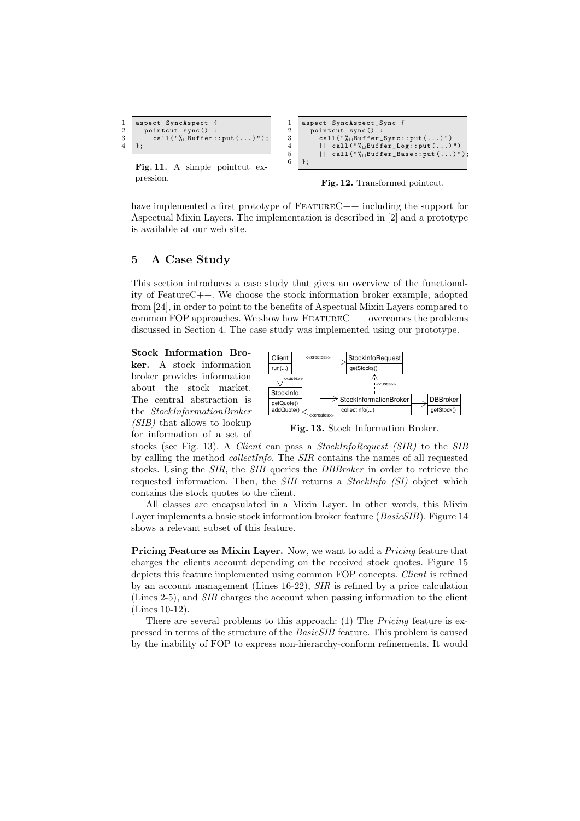

Fig. 11. A simple pointcut expression.



Fig. 12. Transformed pointcut.

have implemented a first prototype of FEATUREC++ including the support for Aspectual Mixin Layers. The implementation is described in [2] and a prototype is available at our web site.

## 5 A Case Study

This section introduces a case study that gives an overview of the functionality of FeatureC++. We choose the stock information broker example, adopted from [24], in order to point to the benefits of Aspectual Mixin Layers compared to common FOP approaches. We show how  $F_{\text{EATURE}}C++$  overcomes the problems discussed in Section 4. The case study was implemented using our prototype.

Stock Information Broker. A stock information broker provides information about the stock market. The central abstraction is the StockInformationBroker (SIB) that allows to lookup for information of a set of



Fig. 13. Stock Information Broker.

stocks (see Fig. 13). A Client can pass a StockInfoRequest (SIR) to the SIB by calling the method collectInfo. The SIR contains the names of all requested stocks. Using the *SIR*, the *SIB* queries the *DBBroker* in order to retrieve the requested information. Then, the  $SIB$  returns a  $StockInfo(SI)$  object which contains the stock quotes to the client.

All classes are encapsulated in a Mixin Layer. In other words, this Mixin Layer implements a basic stock information broker feature (BasicSIB). Figure 14 shows a relevant subset of this feature.

Pricing Feature as Mixin Layer. Now, we want to add a *Pricing* feature that charges the clients account depending on the received stock quotes. Figure 15 depicts this feature implemented using common FOP concepts. Client is refined by an account management (Lines 16-22), SIR is refined by a price calculation (Lines 2-5), and SIB charges the account when passing information to the client (Lines 10-12).

There are several problems to this approach: (1) The *Pricing* feature is expressed in terms of the structure of the BasicSIB feature. This problem is caused by the inability of FOP to express non-hierarchy-conform refinements. It would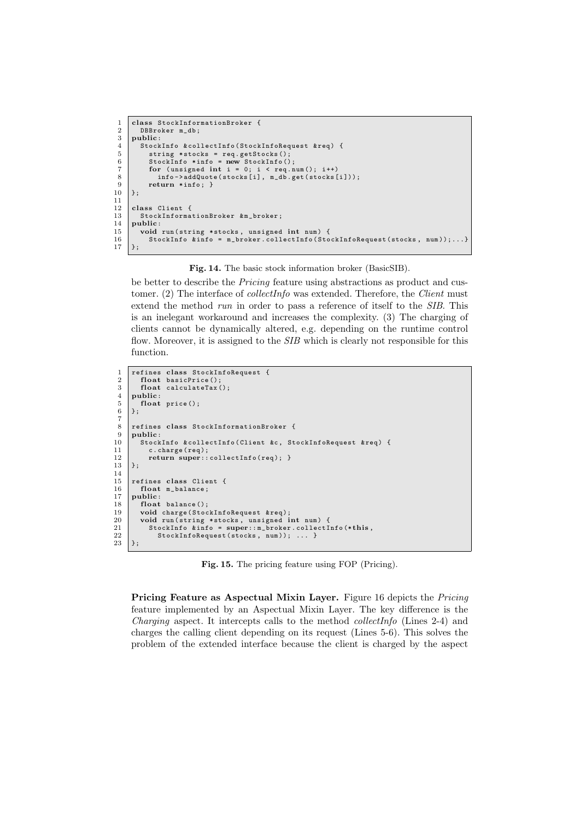```
1 class StockInformationBroker {<br>2 DBBroker m_db;
 2 DBBroker m_ddb;
        public:
 3<br>4 StockInfo & collectInfo (StockInfoRequest & req) {<br>5 string *stocks = req.getStocks();
  5 string *stocks = req.getStocks();<br>6 StockInfo *info = new StockInfo();
 7 for (unsigned int i = 0; i < \text{req num}(); i++)<br>8 info->addluote(stocks[i], m db, get(stocks[i]
 \begin{array}{c|c} 8 & \text{info} - \text{addQuote} (\text{stocks [i]}, \text{ m\_db.get} (\text{stocks [i]})); \\ 9 & \text{return } \text{sinfo} \cdot \end{array}return * info; }
10 | };
\begin{array}{c} 11 \\ 12 \end{array}12 class Client {<br>13 StockInforma
13 StockInformationBroker & m_broker;<br>14 public:
\begin{array}{c|c} 14 & \textbf{public:} \\ 15 & \textbf{void.} \end{array}15 void run (string *stocks, unsigned int num) {<br>16 stockInfo kinfo = m broker.collectInfo (Sto
16 StockInfo & info = m_broker.collectInfo (StockInfoRequest (stocks, num));...}<br>17 }
       \ddot{\ }:
```
Fig. 14. The basic stock information broker (BasicSIB).

be better to describe the Pricing feature using abstractions as product and customer. (2) The interface of *collectInfo* was extended. Therefore, the *Client* must extend the method run in order to pass a reference of itself to the SIB. This is an inelegant workaround and increases the complexity. (3) The charging of clients cannot be dynamically altered, e.g. depending on the runtime control flow. Moreover, it is assigned to the *SIB* which is clearly not responsible for this function.

```
1 refines class StockInfoRequest {<br>2 float basicPrice();
 \begin{array}{c|c} 2 & \text{float basicPrice} \\ 3 & \text{float calculateTax} \end{array}\begin{array}{c|c} 3 & \text{float} \text{ calculated} \\ 4 & \text{public} \end{array}public:
 \begin{array}{c} 5 \\ 6 \end{array} float price();
         \lambda:
 \begin{array}{c} 7 \\ 8 \end{array}8 refines class StockInformationBroker {<br>9 public:
\begin{array}{c|c} 9 & \textbf{public:} \\ 10 & \textbf{Stock} \end{array}StockInfo & collectInfo ( Client & c, StockInfoRequest & req) {
\begin{array}{c|c} 11 & \text{c. charge (req)}; \\ 12 & \text{return super:}: \end{array}12 return super::collectInfo(req); }<br>13 };
         \};
\begin{array}{c} 14 \\ 15 \end{array}15 refines class Client {<br>16 float m_balance;
\begin{array}{c|c} 16 & \text{float m\_balance}; \\ 17 & \text{public}: & \end{array}\begin{array}{c|c} 17 & \textbf{public:} \\ 18 & \textbf{float.} \end{array}\begin{array}{|c|c|c|}\n 18 & \text{float balance();} \\
 \hline\n 19 & \text{void charge (Stoc)}\n \end{array}19 void charge (StockInfoRequest & req);<br>20 void run (string *stocks, unsigned i)
20 void run (string *stocks, unsigned int num) {<br>21 StockInfo &info = super::m_broker.collectInfo(*this,
22 StockInfoRequest (stocks, num)); ... }<br>23 \div.
         23 };
```
Fig. 15. The pricing feature using FOP (Pricing).

Pricing Feature as Aspectual Mixin Layer. Figure 16 depicts the *Pricing* feature implemented by an Aspectual Mixin Layer. The key difference is the Charging aspect. It intercepts calls to the method collectInfo (Lines 2-4) and charges the calling client depending on its request (Lines 5-6). This solves the problem of the extended interface because the client is charged by the aspect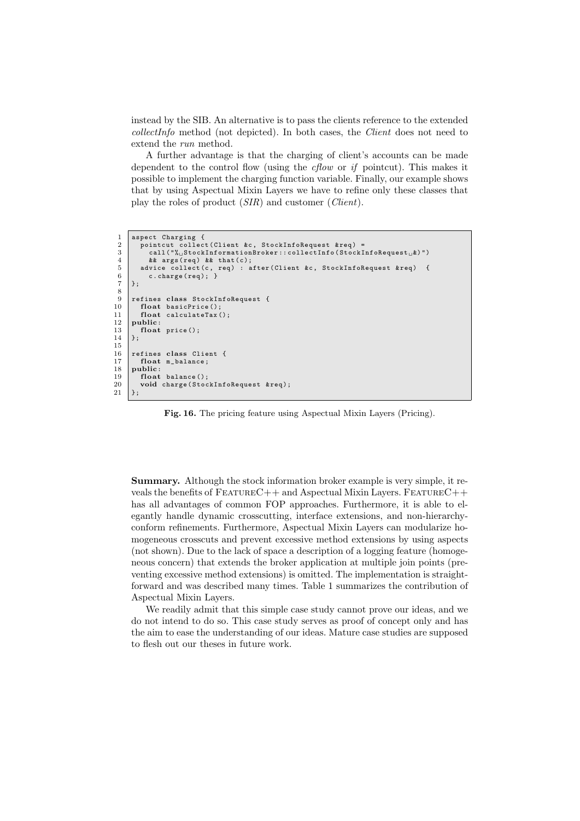instead by the SIB. An alternative is to pass the clients reference to the extended collectInfo method (not depicted). In both cases, the Client does not need to extend the run method.

A further advantage is that the charging of client's accounts can be made dependent to the control flow (using the *cflow* or *if* pointcut). This makes it possible to implement the charging function variable. Finally, our example shows that by using Aspectual Mixin Layers we have to refine only these classes that play the roles of product (SIR) and customer (Client).

```
1 aspect Charging {
 2 pointcut collect (Client &c, StockInfoRequest & req) =<br>3 call ("%_StockInformationBroker::collectInfo(Stock)
 call ( "% StockInformationBroker :: collectInfo (StockInfoRequest<sub>u</sub>&)")<br>
4 b & args (req) & & that (c);
 4 \& args (req) \& that (c);<br>5 advice collect (c, req) : a
  5 advice collect (c, req) : after ( Client & c, StockInfoRequest & req) {<br>6 c.charge (req); }
 \begin{bmatrix} 6 \\ 7 \end{bmatrix}; c. charge (req); }
         7 };
 \frac{8}{9}9 refines class StockInfoRequest {<br>10 float basicPrice();
10 float basicPrice();<br>11 float calculateTax(
11 \begin{bmatrix} 11 & 10 \\ 12 & 12 \end{bmatrix} public:
\begin{array}{c|c} 12 & \text{public:} \\ 13 & \text{float.} \end{array}\begin{array}{c|c} 13 & \text{float price();} \\ 14 & \text{.} \end{array}\lambda:
15
\begin{array}{c|c} 16 & \text{refines class Client} \\ 17 & \text{float m balance:} \end{array}\begin{array}{c|c} 17 \\ 18 \end{array} float m_balance;
\begin{array}{c|c} 18 & \textbf{public:} \\ 19 & \textbf{float} \end{array}\begin{array}{c|c} 19 & \text{float balance();} \\ 20 & \text{void charge (Stoc)} \end{array}void charge (StockInfoRequest & req);
21 \; | \; 3:
```
Fig. 16. The pricing feature using Aspectual Mixin Layers (Pricing).

Summary. Although the stock information broker example is very simple, it reveals the benefits of  $F_{\text{EATURE}}C++$  and Aspectual Mixin Layers.  $F_{\text{EATURE}}C++$ has all advantages of common FOP approaches. Furthermore, it is able to elegantly handle dynamic crosscutting, interface extensions, and non-hierarchyconform refinements. Furthermore, Aspectual Mixin Layers can modularize homogeneous crosscuts and prevent excessive method extensions by using aspects (not shown). Due to the lack of space a description of a logging feature (homogeneous concern) that extends the broker application at multiple join points (preventing excessive method extensions) is omitted. The implementation is straightforward and was described many times. Table 1 summarizes the contribution of Aspectual Mixin Layers.

We readily admit that this simple case study cannot prove our ideas, and we do not intend to do so. This case study serves as proof of concept only and has the aim to ease the understanding of our ideas. Mature case studies are supposed to flesh out our theses in future work.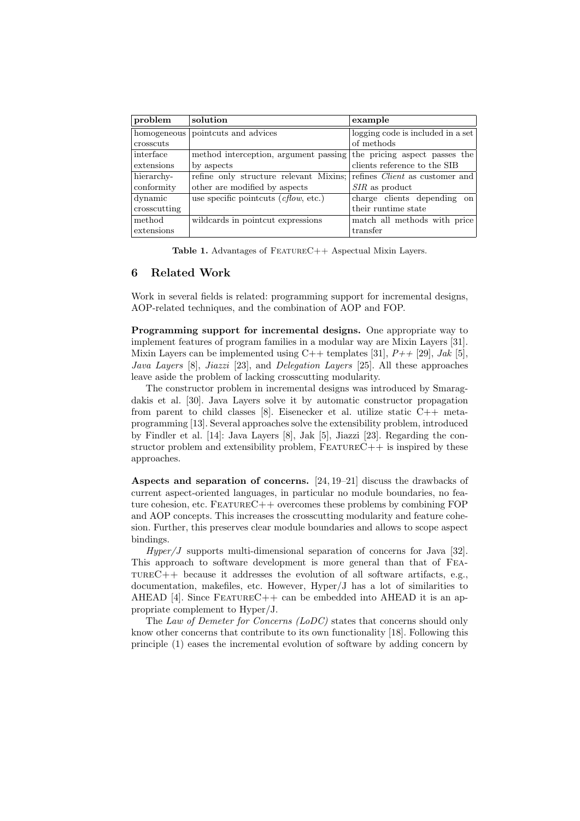| problem      | solution                                                            | example                               |
|--------------|---------------------------------------------------------------------|---------------------------------------|
| homogeneous  | pointcuts and advices                                               | logging code is included in a set     |
| crosscuts    |                                                                     | of methods                            |
| interface    | method interception, argument passing the pricing aspect passes the |                                       |
| extensions   | by aspects                                                          | clients reference to the SIB          |
| hierarchy-   | refine only structure relevant Mixins;                              | refines <i>Client</i> as customer and |
| conformity   | other are modified by aspects                                       | <i>SIR</i> as product                 |
| dynamic      | use specific pointcuts $(cflow, etc.)$                              | charge clients depending on           |
| crosscutting |                                                                     | their runtime state                   |
| method       | wildcards in pointcut expressions                                   | match all methods with price          |
| extensions   |                                                                     | transfer                              |

Table 1. Advantages of FEATUREC++ Aspectual Mixin Layers.

# 6 Related Work

Work in several fields is related: programming support for incremental designs, AOP-related techniques, and the combination of AOP and FOP.

Programming support for incremental designs. One appropriate way to implement features of program families in a modular way are Mixin Layers [31]. Mixin Layers can be implemented using C++ templates [31],  $P++$  [29], *Jak* [5], Java Layers [8], Jiazzi [23], and Delegation Layers [25]. All these approaches leave aside the problem of lacking crosscutting modularity.

The constructor problem in incremental designs was introduced by Smaragdakis et al. [30]. Java Layers solve it by automatic constructor propagation from parent to child classes [8]. Eisenecker et al. utilize static C++ metaprogramming [13]. Several approaches solve the extensibility problem, introduced by Findler et al. [14]: Java Layers [8], Jak [5], Jiazzi [23]. Regarding the constructor problem and extensibility problem,  $F_{\text{EATURE}}C++$  is inspired by these approaches.

Aspects and separation of concerns. [24, 19–21] discuss the drawbacks of current aspect-oriented languages, in particular no module boundaries, no feature cohesion, etc. FeatureC++ overcomes these problems by combining FOP and AOP concepts. This increases the crosscutting modularity and feature cohesion. Further, this preserves clear module boundaries and allows to scope aspect bindings.

 $Hyper/J$  supports multi-dimensional separation of concerns for Java [32]. This approach to software development is more general than that of Fea- $TUREC++$  because it addresses the evolution of all software artifacts, e.g., documentation, makefiles, etc. However, Hyper/J has a lot of similarities to AHEAD [4]. Since  $F_{\text{EATURE}}C++$  can be embedded into AHEAD it is an appropriate complement to Hyper/J.

The Law of Demeter for Concerns (LoDC) states that concerns should only know other concerns that contribute to its own functionality [18]. Following this principle (1) eases the incremental evolution of software by adding concern by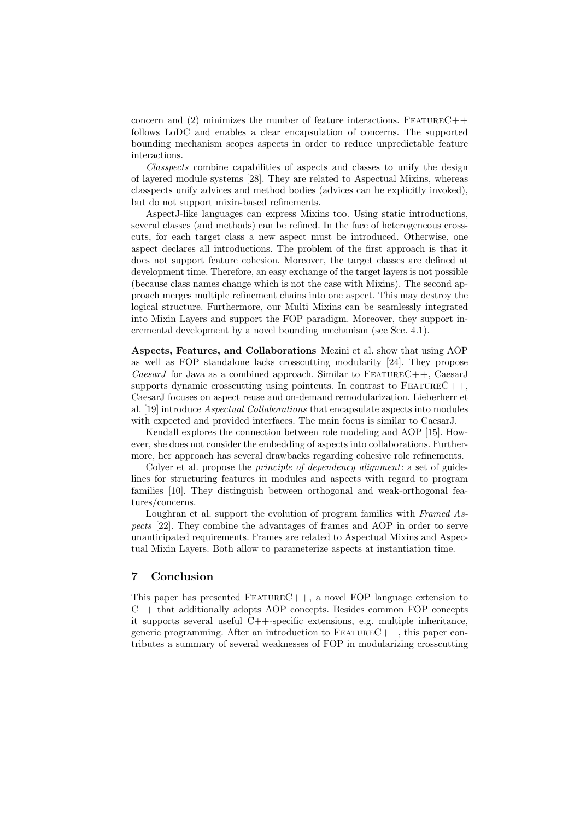concern and  $(2)$  minimizes the number of feature interactions. FEATUREC++ follows LoDC and enables a clear encapsulation of concerns. The supported bounding mechanism scopes aspects in order to reduce unpredictable feature interactions.

Classpects combine capabilities of aspects and classes to unify the design of layered module systems [28]. They are related to Aspectual Mixins, whereas classpects unify advices and method bodies (advices can be explicitly invoked), but do not support mixin-based refinements.

AspectJ-like languages can express Mixins too. Using static introductions, several classes (and methods) can be refined. In the face of heterogeneous crosscuts, for each target class a new aspect must be introduced. Otherwise, one aspect declares all introductions. The problem of the first approach is that it does not support feature cohesion. Moreover, the target classes are defined at development time. Therefore, an easy exchange of the target layers is not possible (because class names change which is not the case with Mixins). The second approach merges multiple refinement chains into one aspect. This may destroy the logical structure. Furthermore, our Multi Mixins can be seamlessly integrated into Mixin Layers and support the FOP paradigm. Moreover, they support incremental development by a novel bounding mechanism (see Sec. 4.1).

Aspects, Features, and Collaborations Mezini et al. show that using AOP as well as FOP standalone lacks crosscutting modularity [24]. They propose *CaesarJ* for Java as a combined approach. Similar to  $F_{\text{EATUREC++}}$ , CaesarJ supports dynamic crosscutting using pointcuts. In contrast to  $F_{\text{EATUREC++}}$ , CaesarJ focuses on aspect reuse and on-demand remodularization. Lieberherr et al. [19] introduce Aspectual Collaborations that encapsulate aspects into modules with expected and provided interfaces. The main focus is similar to CaesarJ.

Kendall explores the connection between role modeling and AOP [15]. However, she does not consider the embedding of aspects into collaborations. Furthermore, her approach has several drawbacks regarding cohesive role refinements.

Colyer et al. propose the *principle of dependency alignment*: a set of guidelines for structuring features in modules and aspects with regard to program families [10]. They distinguish between orthogonal and weak-orthogonal features/concerns.

Loughran et al. support the evolution of program families with Framed Aspects [22]. They combine the advantages of frames and AOP in order to serve unanticipated requirements. Frames are related to Aspectual Mixins and Aspectual Mixin Layers. Both allow to parameterize aspects at instantiation time.

### 7 Conclusion

This paper has presented  $F_{\text{EATURE}}C++$ , a novel FOP language extension to C++ that additionally adopts AOP concepts. Besides common FOP concepts it supports several useful C++-specific extensions, e.g. multiple inheritance, generic programming. After an introduction to  $F_{\text{EATURE}}C_{++}$ , this paper contributes a summary of several weaknesses of FOP in modularizing crosscutting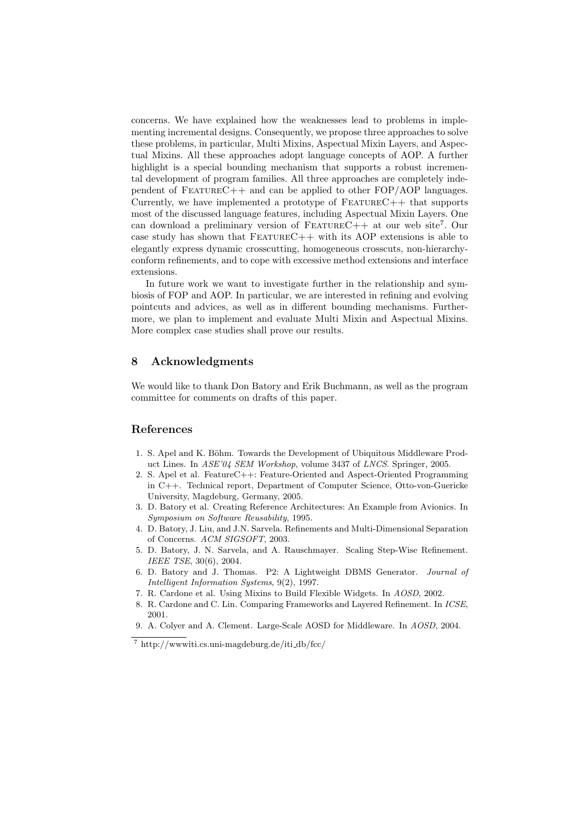concerns. We have explained how the weaknesses lead to problems in implementing incremental designs. Consequently, we propose three approaches to solve these problems, in particular, Multi Mixins, Aspectual Mixin Layers, and Aspectual Mixins. All these approaches adopt language concepts of AOP. A further highlight is a special bounding mechanism that supports a robust incremental development of program families. All three approaches are completely independent of  $F_{\text{EATURE}}C++$  and can be applied to other  $FOP/AOP$  languages. Currently, we have implemented a prototype of  $F_{\text{EATURE}}C_{++}$  that supports most of the discussed language features, including Aspectual Mixin Layers. One can download a preliminary version of FEATUREC++ at our web site<sup>7</sup>. Our case study has shown that  $F_{\text{EATURE}}C++$  with its AOP extensions is able to elegantly express dynamic crosscutting, homogeneous crosscuts, non-hierarchyconform refinements, and to cope with excessive method extensions and interface extensions.

In future work we want to investigate further in the relationship and symbiosis of FOP and AOP. In particular, we are interested in refining and evolving pointcuts and advices, as well as in different bounding mechanisms. Furthermore, we plan to implement and evaluate Multi Mixin and Aspectual Mixins. More complex case studies shall prove our results.

## 8 Acknowledgments

We would like to thank Don Batory and Erik Buchmann, as well as the program committee for comments on drafts of this paper.

### References

- 1. S. Apel and K. Böhm. Towards the Development of Ubiquitous Middleware Product Lines. In ASE'04 SEM Workshop, volume 3437 of LNCS. Springer, 2005.
- 2. S. Apel et al. FeatureC++: Feature-Oriented and Aspect-Oriented Programming in C++. Technical report, Department of Computer Science, Otto-von-Guericke University, Magdeburg, Germany, 2005.
- 3. D. Batory et al. Creating Reference Architectures: An Example from Avionics. In Symposium on Software Reusability, 1995.
- 4. D. Batory, J. Liu, and J.N. Sarvela. Refinements and Multi-Dimensional Separation of Concerns. ACM SIGSOFT, 2003.
- 5. D. Batory, J. N. Sarvela, and A. Rauschmayer. Scaling Step-Wise Refinement. IEEE TSE, 30(6), 2004.
- 6. D. Batory and J. Thomas. P2: A Lightweight DBMS Generator. Journal of Intelligent Information Systems, 9(2), 1997.
- 7. R. Cardone et al. Using Mixins to Build Flexible Widgets. In AOSD, 2002.
- 8. R. Cardone and C. Lin. Comparing Frameworks and Layered Refinement. In ICSE, 2001.
- 9. A. Colyer and A. Clement. Large-Scale AOSD for Middleware. In AOSD, 2004.

<sup>7</sup> http://wwwiti.cs.uni-magdeburg.de/iti db/fcc/